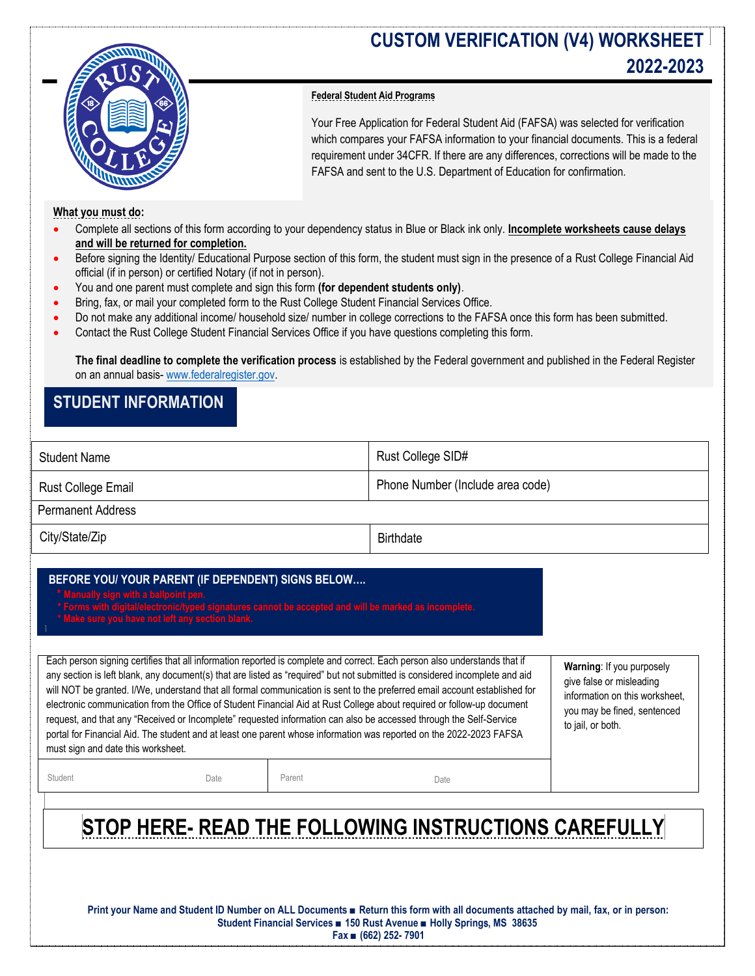

## **CUSTOM VERIFICATION (V4) WORKSHEET 2022-2023**

## **Federal Student Aid Programs**

Your Free Application for Federal Student Aid (FAFSA) was selected for verification which compares your FAFSA information to your financial documents. This is a federal requirement under 34CFR. If there are any differences, corrections will be made to the FAFSA and sent to the U.S. Department of Education for confirmation.

### **What you must do:**

- Complete all sections of this form according to your dependency status in Blue or Black ink only. **Incomplete worksheets cause delays and will be returned for completion.**
- Before signing the Identity/ Educational Purpose section of this form, the student must sign in the presence of a Rust College Financial Aid official (if in person) or certified Notary (if not in person).
- You and one parent must complete and sign this form **(for dependent students only)**.
- Bring, fax, or mail your completed form to the Rust College Student Financial Services Office.
- Do not make any additional income/ household size/ number in college corrections to the FAFSA once this form has been submitted.
- Contact the Rust College Student Financial Services Office if you have questions completing this form.

**The final deadline to complete the verification process** is established by the Federal government and published in the Federal Register on an annual basis- [www.federalregister.gov.](http://www.federalregister.gov/)

## **STUDENT INFORMATION**

| <b>Student Name</b>                                                                                                                                                                                                                                                                                                                                                                                                                                                                                                                                                                                                                                                                                                                                                                                                                                                                                                                                                                                                                                                                                                                                                                                            |        | Rust College SID#                |  |  |
|----------------------------------------------------------------------------------------------------------------------------------------------------------------------------------------------------------------------------------------------------------------------------------------------------------------------------------------------------------------------------------------------------------------------------------------------------------------------------------------------------------------------------------------------------------------------------------------------------------------------------------------------------------------------------------------------------------------------------------------------------------------------------------------------------------------------------------------------------------------------------------------------------------------------------------------------------------------------------------------------------------------------------------------------------------------------------------------------------------------------------------------------------------------------------------------------------------------|--------|----------------------------------|--|--|
| Rust College Email                                                                                                                                                                                                                                                                                                                                                                                                                                                                                                                                                                                                                                                                                                                                                                                                                                                                                                                                                                                                                                                                                                                                                                                             |        | Phone Number (Include area code) |  |  |
| <b>Permanent Address</b>                                                                                                                                                                                                                                                                                                                                                                                                                                                                                                                                                                                                                                                                                                                                                                                                                                                                                                                                                                                                                                                                                                                                                                                       |        |                                  |  |  |
| City/State/Zip                                                                                                                                                                                                                                                                                                                                                                                                                                                                                                                                                                                                                                                                                                                                                                                                                                                                                                                                                                                                                                                                                                                                                                                                 |        | <b>Birthdate</b>                 |  |  |
| BEFORE YOU/ YOUR PARENT (IF DEPENDENT) SIGNS BELOW<br>* Manually sign with a ballpoint pen.<br>* Forms with digital/electronic/typed signatures cannot be accepted and will be marked as incomplete.<br>* Make sure you have not left any section blank.<br>Each person signing certifies that all information reported is complete and correct. Each person also understands that if<br>Warning: If you purposely<br>any section is left blank, any document(s) that are listed as "required" but not submitted is considered incomplete and aid<br>give false or misleading<br>will NOT be granted. I/We, understand that all formal communication is sent to the preferred email account established for<br>information on this worksheet,<br>electronic communication from the Office of Student Financial Aid at Rust College about required or follow-up document<br>you may be fined, sentenced<br>request, and that any "Received or Incomplete" requested information can also be accessed through the Self-Service<br>to jail, or both.<br>portal for Financial Aid. The student and at least one parent whose information was reported on the 2022-2023 FAFSA<br>must sign and date this worksheet. |        |                                  |  |  |
| Student<br>Date                                                                                                                                                                                                                                                                                                                                                                                                                                                                                                                                                                                                                                                                                                                                                                                                                                                                                                                                                                                                                                                                                                                                                                                                | Parent | Date                             |  |  |
|                                                                                                                                                                                                                                                                                                                                                                                                                                                                                                                                                                                                                                                                                                                                                                                                                                                                                                                                                                                                                                                                                                                                                                                                                |        |                                  |  |  |

# **STOP HERE- READ THE FOLLOWING INSTRUCTIONS CAREFULLY**

**Print your Name and Student ID Number on ALL Documents ■ Return this form with all documents attached by mail, fax, or in person: Student Financial Services ■ 150 Rust Avenue ■ Holly Spring**s**, MS 38635 Fax ■ (662) 252- 7901**